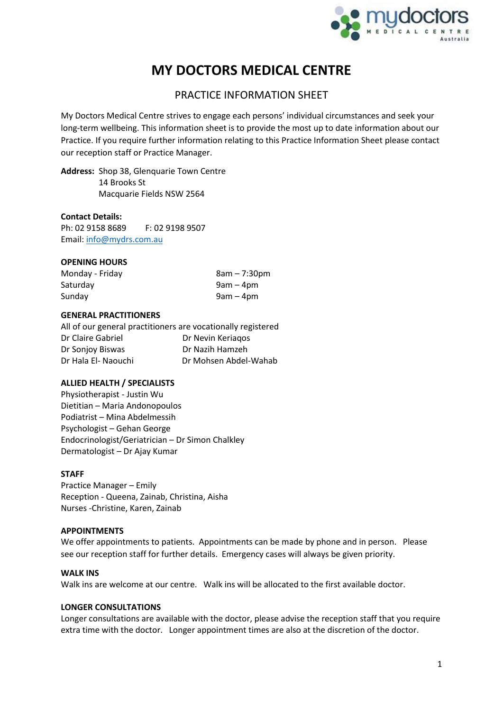

# **MY DOCTORS MEDICAL CENTRE**

# PRACTICE INFORMATION SHEET

My Doctors Medical Centre strives to engage each persons' individual circumstances and seek your long-term wellbeing. This information sheet is to provide the most up to date information about our Practice. If you require further information relating to this Practice Information Sheet please contact our reception staff or Practice Manager.

**Address:** Shop 38, Glenquarie Town Centre 14 Brooks St Macquarie Fields NSW 2564

# **Contact Details:**

Ph: 02 9158 8689 F: 02 9198 9507 Email: [info@mydrs.com.au](mailto:info@mydrs.com.au)

# **OPENING HOURS**

| Monday - Friday | $8am - 7:30pm$ |
|-----------------|----------------|
| Saturday        | 9am – 4pm      |
| Sunday          | $9am - 4pm$    |

# **GENERAL PRACTITIONERS**

All of our general practitioners are vocationally registered Dr Claire Gabriel Dr Nevin Keriaqos Dr Sonjoy Biswas Dr Nazih Hamzeh Dr Hala El- Naouchi Dr Mohsen Abdel-Wahab

# **ALLIED HEALTH / SPECIALISTS**

Physiotherapist - Justin Wu Dietitian – Maria Andonopoulos Podiatrist – Mina Abdelmessih Psychologist – Gehan George Endocrinologist/Geriatrician – Dr Simon Chalkley Dermatologist – Dr Ajay Kumar

# **STAFF**

Practice Manager – Emily Reception - Queena, Zainab, Christina, Aisha Nurses -Christine, Karen, Zainab

# **APPOINTMENTS**

We offer appointments to patients. Appointments can be made by phone and in person. Please see our reception staff for further details. Emergency cases will always be given priority.

#### **WALK INS**

Walk ins are welcome at our centre. Walk ins will be allocated to the first available doctor.

#### **LONGER CONSULTATIONS**

Longer consultations are available with the doctor, please advise the reception staff that you require extra time with the doctor. Longer appointment times are also at the discretion of the doctor.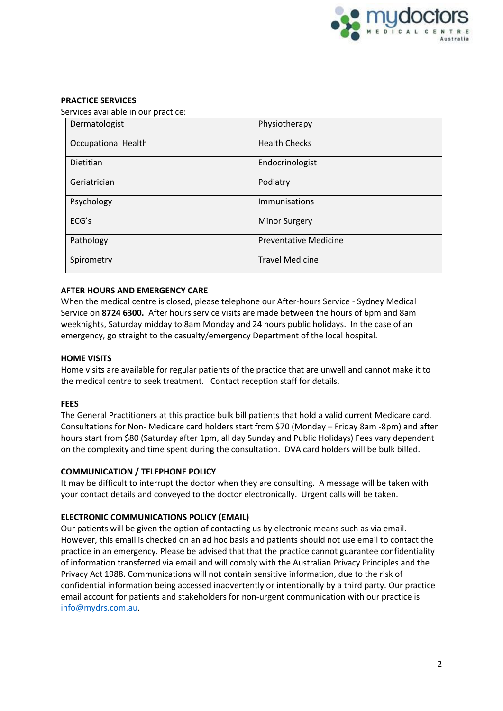

# **PRACTICE SERVICES**

Services available in our practice:

| Dermatologist              | Physiotherapy                |
|----------------------------|------------------------------|
| <b>Occupational Health</b> | <b>Health Checks</b>         |
| <b>Dietitian</b>           | Endocrinologist              |
| Geriatrician               | Podiatry                     |
| Psychology                 | Immunisations                |
| ECG's                      | <b>Minor Surgery</b>         |
| Pathology                  | <b>Preventative Medicine</b> |
| Spirometry                 | <b>Travel Medicine</b>       |

# **AFTER HOURS AND EMERGENCY CARE**

When the medical centre is closed, please telephone our After-hours Service - Sydney Medical Service on **8724 6300.** After hours service visits are made between the hours of 6pm and 8am weeknights, Saturday midday to 8am Monday and 24 hours public holidays. In the case of an emergency, go straight to the casualty/emergency Department of the local hospital.

# **HOME VISITS**

Home visits are available for regular patients of the practice that are unwell and cannot make it to the medical centre to seek treatment. Contact reception staff for details.

# **FEES**

The General Practitioners at this practice bulk bill patients that hold a valid current Medicare card. Consultations for Non- Medicare card holders start from \$70 (Monday – Friday 8am -8pm) and after hours start from \$80 (Saturday after 1pm, all day Sunday and Public Holidays) Fees vary dependent on the complexity and time spent during the consultation. DVA card holders will be bulk billed.

# **COMMUNICATION / TELEPHONE POLICY**

It may be difficult to interrupt the doctor when they are consulting. A message will be taken with your contact details and conveyed to the doctor electronically. Urgent calls will be taken.

# **ELECTRONIC COMMUNICATIONS POLICY (EMAIL)**

Our patients will be given the option of contacting us by electronic means such as via email. However, this email is checked on an ad hoc basis and patients should not use email to contact the practice in an emergency. Please be advised that that the practice cannot guarantee confidentiality of information transferred via email and will comply with the Australian Privacy Principles and the Privacy Act 1988. Communications will not contain sensitive information, due to the risk of confidential information being accessed inadvertently or intentionally by a third party. Our practice email account for patients and stakeholders for non-urgent communication with our practice is [info@mydrs.com.au.](mailto:info@mydrs.com.au)